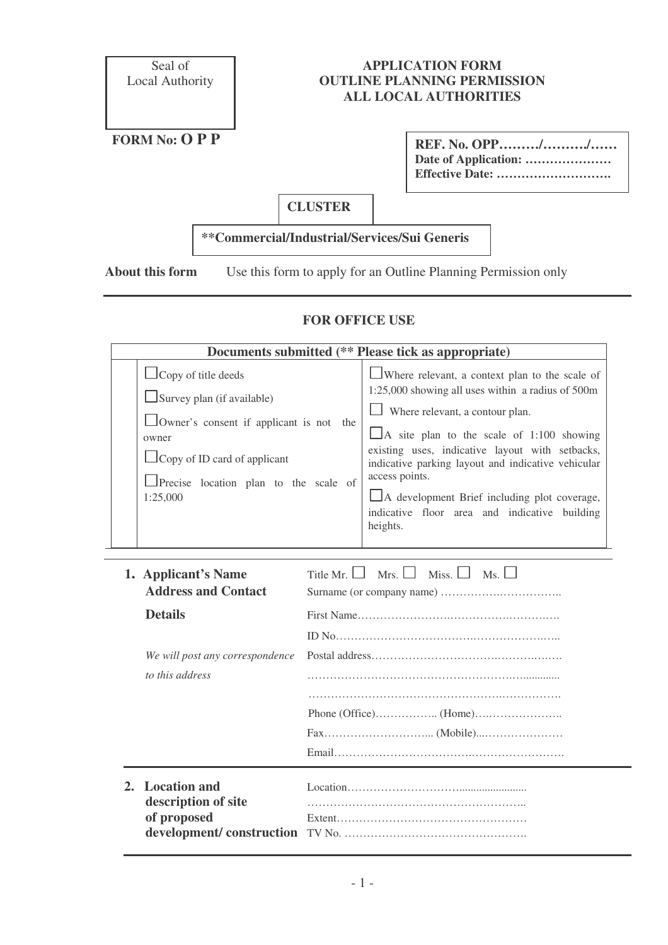Seal of Local Authority

## **APPLICATION FORM OUTLINE PLANNING PERMISSION ALL LOCAL AUTHORITIES**

**FORM No: O P P**

| REF. No. OPP// |  |
|----------------|--|
|                |  |
|                |  |

**CLUSTER**

## **\*\*Commercial/Industrial/Services/Sui Generis**

**About this form** Use this form to apply for an Outline Planning Permission only

## **FOR OFFICE USE**

| Documents submitted (** Please tick as appropriate)                                                                                                                                                                    |                                                                                                                                                                                                                                                                                                                                                                                                                                               |  |  |  |
|------------------------------------------------------------------------------------------------------------------------------------------------------------------------------------------------------------------------|-----------------------------------------------------------------------------------------------------------------------------------------------------------------------------------------------------------------------------------------------------------------------------------------------------------------------------------------------------------------------------------------------------------------------------------------------|--|--|--|
| $\Box$ Copy of title deeds<br>$\Box$ Survey plan (if available)<br>$\Box$ Owner's consent if applicant is not the<br>owner<br>$\Box$ Copy of ID card of applicant<br>Precise location plan to the scale of<br>1:25,000 | Where relevant, a context plan to the scale of<br>$1:25,000$ showing all uses within a radius of $500m$<br>Where relevant, a contour plan.<br>$\Box$ A site plan to the scale of 1:100 showing<br>existing uses, indicative layout with setbacks,<br>indicative parking layout and indicative vehicular<br>access points.<br>$\Box$ A development Brief including plot coverage,<br>indicative floor area and indicative building<br>heights. |  |  |  |

| 1. Applicant's Name<br><b>Address and Contact</b>     | Mrs. $\Box$<br>Miss. $\Box$<br>$Ms. \Box$<br>Title Mr. $\vert \vert$ |
|-------------------------------------------------------|----------------------------------------------------------------------|
| <b>Details</b>                                        |                                                                      |
|                                                       |                                                                      |
| We will post any correspondence<br>to this address    |                                                                      |
|                                                       |                                                                      |
|                                                       |                                                                      |
|                                                       |                                                                      |
|                                                       |                                                                      |
|                                                       |                                                                      |
| 2. Location and<br>description of site<br>of proposed |                                                                      |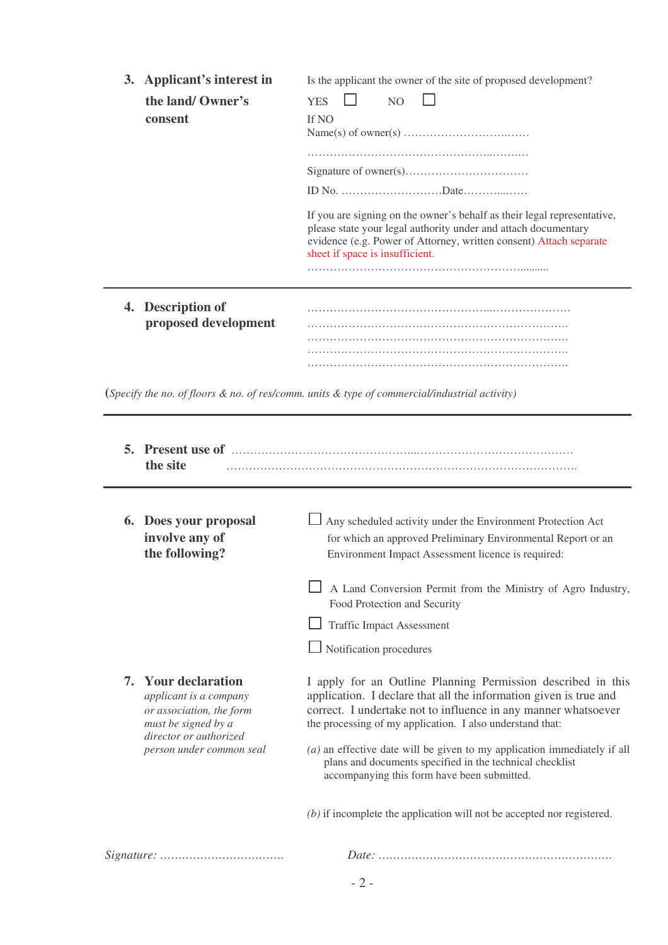|                                                                                                                                                                  | 3. Applicant's interest in<br>the land/ Owner's<br>consent | Is the applicant the owner of the site of proposed development?<br><b>YES</b><br>N <sub>O</sub><br>If NO<br>If you are signing on the owner's behalf as their legal representative,<br>please state your legal authority under and attach documentary<br>evidence (e.g. Power of Attorney, written consent) Attach separate<br>sheet if space is insufficient. |
|------------------------------------------------------------------------------------------------------------------------------------------------------------------|------------------------------------------------------------|----------------------------------------------------------------------------------------------------------------------------------------------------------------------------------------------------------------------------------------------------------------------------------------------------------------------------------------------------------------|
|                                                                                                                                                                  | 4. Description of<br>proposed development                  |                                                                                                                                                                                                                                                                                                                                                                |
|                                                                                                                                                                  |                                                            | (Specify the no. of floors $\&$ no. of res/comm. units $\&$ type of commercial/industrial activity)                                                                                                                                                                                                                                                            |
|                                                                                                                                                                  | the site                                                   |                                                                                                                                                                                                                                                                                                                                                                |
|                                                                                                                                                                  | 6. Does your proposal<br>involve any of<br>the following?  | Any scheduled activity under the Environment Protection Act<br>for which an approved Preliminary Environmental Report or an<br>Environment Impact Assessment licence is required:                                                                                                                                                                              |
|                                                                                                                                                                  |                                                            | A Land Conversion Permit from the Ministry of Agro Industry,<br>Food Protection and Security                                                                                                                                                                                                                                                                   |
|                                                                                                                                                                  |                                                            | Traffic Impact Assessment                                                                                                                                                                                                                                                                                                                                      |
|                                                                                                                                                                  |                                                            | Notification procedures                                                                                                                                                                                                                                                                                                                                        |
| <b>Your declaration</b><br>7.<br>applicant is a company<br>or association, the form<br>must be signed by a<br>director or authorized<br>person under common seal |                                                            | I apply for an Outline Planning Permission described in this<br>application. I declare that all the information given is true and<br>correct. I undertake not to influence in any manner whatsoever<br>the processing of my application. I also understand that:<br>$(a)$ an effective date will be given to my application immediately if all                 |
|                                                                                                                                                                  |                                                            | plans and documents specified in the technical checklist<br>accompanying this form have been submitted.<br>$(b)$ if incomplete the application will not be accepted nor registered.                                                                                                                                                                            |

*Signature: ……………………………. Date: ……………………………………………………….*

- 2 -